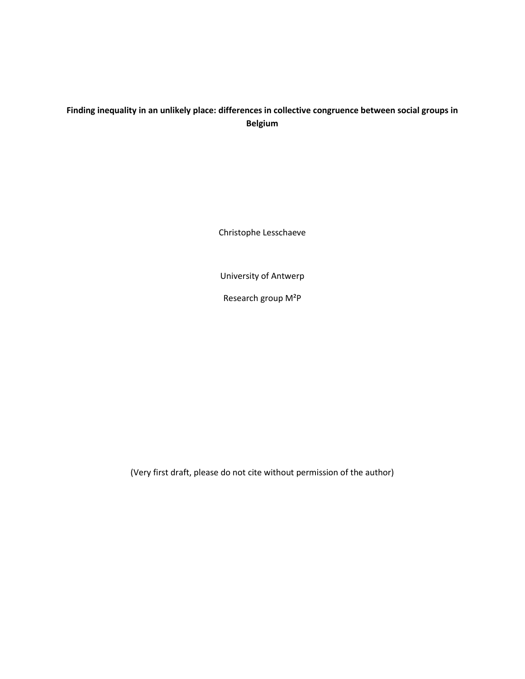# **Finding inequality in an unlikely place: differences in collective congruence between social groups in Belgium**

Christophe Lesschaeve

University of Antwerp

Research group M²P

(Very first draft, please do not cite without permission of the author)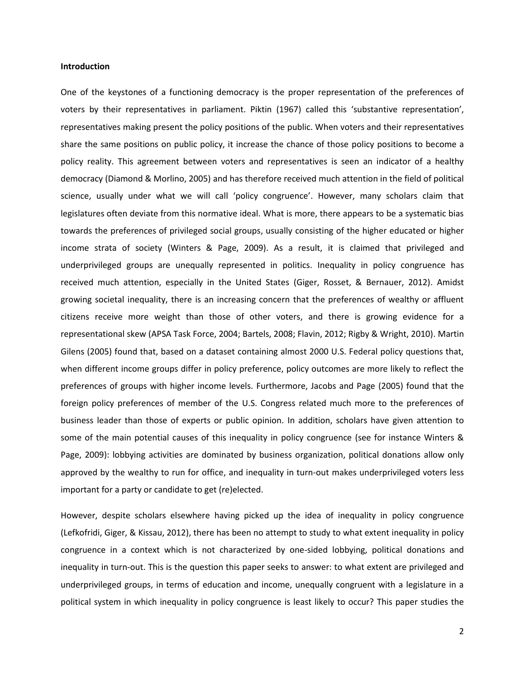# **Introduction**

One of the keystones of a functioning democracy is the proper representation of the preferences of voters by their representatives in parliament. Piktin (1967) called this 'substantive representation', representatives making present the policy positions of the public. When voters and their representatives share the same positions on public policy, it increase the chance of those policy positions to become a policy reality. This agreement between voters and representatives is seen an indicator of a healthy democracy (Diamond & Morlino, 2005) and has therefore received much attention in the field of political science, usually under what we will call 'policy congruence'. However, many scholars claim that legislatures often deviate from this normative ideal. What is more, there appears to be a systematic bias towards the preferences of privileged social groups, usually consisting of the higher educated or higher income strata of society (Winters & Page, 2009). As a result, it is claimed that privileged and underprivileged groups are unequally represented in politics. Inequality in policy congruence has received much attention, especially in the United States (Giger, Rosset, & Bernauer, 2012). Amidst growing societal inequality, there is an increasing concern that the preferences of wealthy or affluent citizens receive more weight than those of other voters, and there is growing evidence for a representational skew (APSA Task Force, 2004; Bartels, 2008; Flavin, 2012; Rigby & Wright, 2010). Martin Gilens (2005) found that, based on a dataset containing almost 2000 U.S. Federal policy questions that, when different income groups differ in policy preference, policy outcomes are more likely to reflect the preferences of groups with higher income levels. Furthermore, Jacobs and Page (2005) found that the foreign policy preferences of member of the U.S. Congress related much more to the preferences of business leader than those of experts or public opinion. In addition, scholars have given attention to some of the main potential causes of this inequality in policy congruence (see for instance Winters & Page, 2009): lobbying activities are dominated by business organization, political donations allow only approved by the wealthy to run for office, and inequality in turn-out makes underprivileged voters less important for a party or candidate to get (re)elected.

However, despite scholars elsewhere having picked up the idea of inequality in policy congruence (Lefkofridi, Giger, & Kissau, 2012), there has been no attempt to study to what extent inequality in policy congruence in a context which is not characterized by one-sided lobbying, political donations and inequality in turn-out. This is the question this paper seeks to answer: to what extent are privileged and underprivileged groups, in terms of education and income, unequally congruent with a legislature in a political system in which inequality in policy congruence is least likely to occur? This paper studies the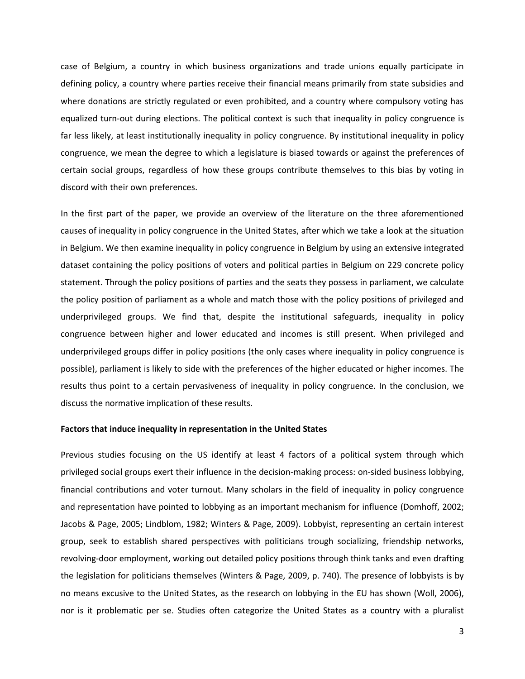case of Belgium, a country in which business organizations and trade unions equally participate in defining policy, a country where parties receive their financial means primarily from state subsidies and where donations are strictly regulated or even prohibited, and a country where compulsory voting has equalized turn-out during elections. The political context is such that inequality in policy congruence is far less likely, at least institutionally inequality in policy congruence. By institutional inequality in policy congruence, we mean the degree to which a legislature is biased towards or against the preferences of certain social groups, regardless of how these groups contribute themselves to this bias by voting in discord with their own preferences.

In the first part of the paper, we provide an overview of the literature on the three aforementioned causes of inequality in policy congruence in the United States, after which we take a look at the situation in Belgium. We then examine inequality in policy congruence in Belgium by using an extensive integrated dataset containing the policy positions of voters and political parties in Belgium on 229 concrete policy statement. Through the policy positions of parties and the seats they possess in parliament, we calculate the policy position of parliament as a whole and match those with the policy positions of privileged and underprivileged groups. We find that, despite the institutional safeguards, inequality in policy congruence between higher and lower educated and incomes is still present. When privileged and underprivileged groups differ in policy positions (the only cases where inequality in policy congruence is possible), parliament is likely to side with the preferences of the higher educated or higher incomes. The results thus point to a certain pervasiveness of inequality in policy congruence. In the conclusion, we discuss the normative implication of these results.

# **Factors that induce inequality in representation in the United States**

Previous studies focusing on the US identify at least 4 factors of a political system through which privileged social groups exert their influence in the decision-making process: on-sided business lobbying, financial contributions and voter turnout. Many scholars in the field of inequality in policy congruence and representation have pointed to lobbying as an important mechanism for influence (Domhoff, 2002; Jacobs & Page, 2005; Lindblom, 1982; Winters & Page, 2009). Lobbyist, representing an certain interest group, seek to establish shared perspectives with politicians trough socializing, friendship networks, revolving-door employment, working out detailed policy positions through think tanks and even drafting the legislation for politicians themselves (Winters & Page, 2009, p. 740). The presence of lobbyists is by no means excusive to the United States, as the research on lobbying in the EU has shown (Woll, 2006), nor is it problematic per se. Studies often categorize the United States as a country with a pluralist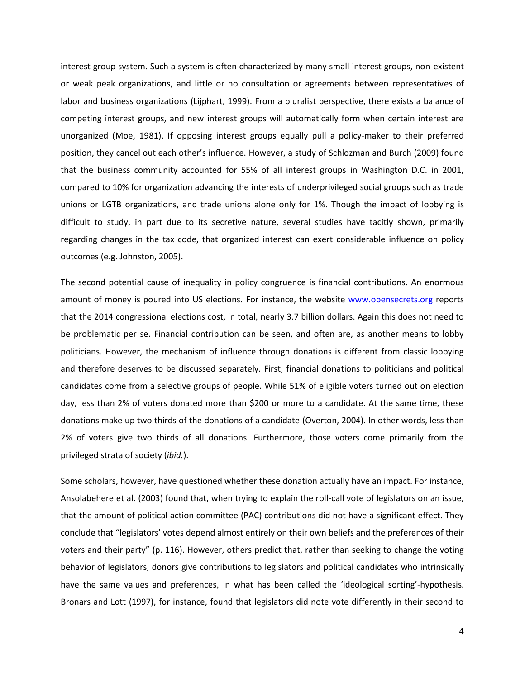interest group system. Such a system is often characterized by many small interest groups, non-existent or weak peak organizations, and little or no consultation or agreements between representatives of labor and business organizations (Lijphart, 1999). From a pluralist perspective, there exists a balance of competing interest groups, and new interest groups will automatically form when certain interest are unorganized (Moe, 1981). If opposing interest groups equally pull a policy-maker to their preferred position, they cancel out each other's influence. However, a study of Schlozman and Burch (2009) found that the business community accounted for 55% of all interest groups in Washington D.C. in 2001, compared to 10% for organization advancing the interests of underprivileged social groups such as trade unions or LGTB organizations, and trade unions alone only for 1%. Though the impact of lobbying is difficult to study, in part due to its secretive nature, several studies have tacitly shown, primarily regarding changes in the tax code, that organized interest can exert considerable influence on policy outcomes (e.g. Johnston, 2005).

The second potential cause of inequality in policy congruence is financial contributions. An enormous amount of money is poured into US elections. For instance, the website [www.opensecrets.org](http://www.opensecrets.org/) reports that the 2014 congressional elections cost, in total, nearly 3.7 billion dollars. Again this does not need to be problematic per se. Financial contribution can be seen, and often are, as another means to lobby politicians. However, the mechanism of influence through donations is different from classic lobbying and therefore deserves to be discussed separately. First, financial donations to politicians and political candidates come from a selective groups of people. While 51% of eligible voters turned out on election day, less than 2% of voters donated more than \$200 or more to a candidate. At the same time, these donations make up two thirds of the donations of a candidate (Overton, 2004). In other words, less than 2% of voters give two thirds of all donations. Furthermore, those voters come primarily from the privileged strata of society (*ibid.*).

Some scholars, however, have questioned whether these donation actually have an impact. For instance, Ansolabehere et al. (2003) found that, when trying to explain the roll-call vote of legislators on an issue, that the amount of political action committee (PAC) contributions did not have a significant effect. They conclude that "legislators' votes depend almost entirely on their own beliefs and the preferences of their voters and their party" (p. 116). However, others predict that, rather than seeking to change the voting behavior of legislators, donors give contributions to legislators and political candidates who intrinsically have the same values and preferences, in what has been called the 'ideological sorting'-hypothesis. Bronars and Lott (1997), for instance, found that legislators did note vote differently in their second to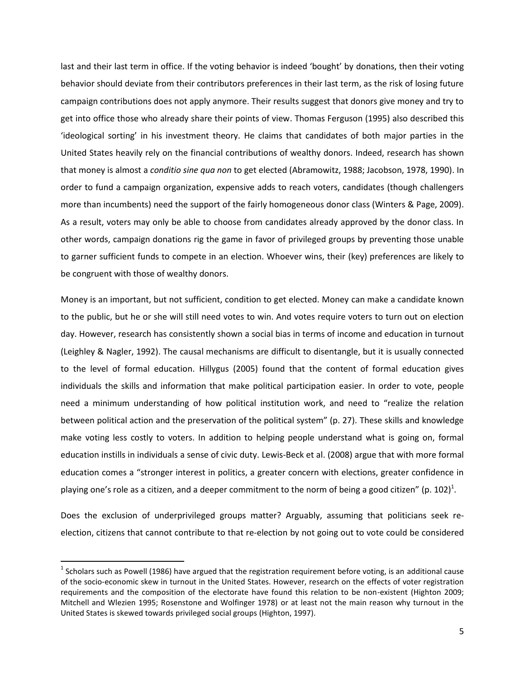last and their last term in office. If the voting behavior is indeed 'bought' by donations, then their voting behavior should deviate from their contributors preferences in their last term, as the risk of losing future campaign contributions does not apply anymore. Their results suggest that donors give money and try to get into office those who already share their points of view. Thomas Ferguson (1995) also described this 'ideological sorting' in his investment theory. He claims that candidates of both major parties in the United States heavily rely on the financial contributions of wealthy donors. Indeed, research has shown that money is almost a *conditio sine qua non* to get elected (Abramowitz, 1988; Jacobson, 1978, 1990). In order to fund a campaign organization, expensive adds to reach voters, candidates (though challengers more than incumbents) need the support of the fairly homogeneous donor class (Winters & Page, 2009). As a result, voters may only be able to choose from candidates already approved by the donor class. In other words, campaign donations rig the game in favor of privileged groups by preventing those unable to garner sufficient funds to compete in an election. Whoever wins, their (key) preferences are likely to be congruent with those of wealthy donors.

Money is an important, but not sufficient, condition to get elected. Money can make a candidate known to the public, but he or she will still need votes to win. And votes require voters to turn out on election day. However, research has consistently shown a social bias in terms of income and education in turnout (Leighley & Nagler, 1992). The causal mechanisms are difficult to disentangle, but it is usually connected to the level of formal education. Hillygus (2005) found that the content of formal education gives individuals the skills and information that make political participation easier. In order to vote, people need a minimum understanding of how political institution work, and need to "realize the relation between political action and the preservation of the political system" (p. 27). These skills and knowledge make voting less costly to voters. In addition to helping people understand what is going on, formal education instills in individuals a sense of civic duty. Lewis-Beck et al. (2008) argue that with more formal education comes a "stronger interest in politics, a greater concern with elections, greater confidence in playing one's role as a citizen, and a deeper commitment to the norm of being a good citizen" (p. 102)<sup>1</sup>.

Does the exclusion of underprivileged groups matter? Arguably, assuming that politicians seek reelection, citizens that cannot contribute to that re-election by not going out to vote could be considered

 $\overline{a}$ 

 $^1$  Scholars such as Powell (1986) have argued that the registration requirement before voting, is an additional cause of the socio-economic skew in turnout in the United States. However, research on the effects of voter registration requirements and the composition of the electorate have found this relation to be non-existent (Highton 2009; Mitchell and Wlezien 1995; Rosenstone and Wolfinger 1978) or at least not the main reason why turnout in the United States is skewed towards privileged social groups (Highton, 1997).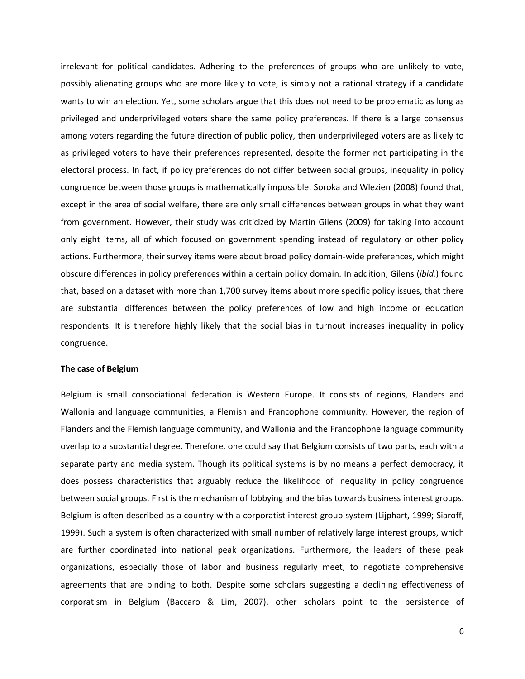irrelevant for political candidates. Adhering to the preferences of groups who are unlikely to vote, possibly alienating groups who are more likely to vote, is simply not a rational strategy if a candidate wants to win an election. Yet, some scholars argue that this does not need to be problematic as long as privileged and underprivileged voters share the same policy preferences. If there is a large consensus among voters regarding the future direction of public policy, then underprivileged voters are as likely to as privileged voters to have their preferences represented, despite the former not participating in the electoral process. In fact, if policy preferences do not differ between social groups, inequality in policy congruence between those groups is mathematically impossible. Soroka and Wlezien (2008) found that, except in the area of social welfare, there are only small differences between groups in what they want from government. However, their study was criticized by Martin Gilens (2009) for taking into account only eight items, all of which focused on government spending instead of regulatory or other policy actions. Furthermore, their survey items were about broad policy domain-wide preferences, which might obscure differences in policy preferences within a certain policy domain. In addition, Gilens (*ibid.*) found that, based on a dataset with more than 1,700 survey items about more specific policy issues, that there are substantial differences between the policy preferences of low and high income or education respondents. It is therefore highly likely that the social bias in turnout increases inequality in policy congruence.

# **The case of Belgium**

Belgium is small consociational federation is Western Europe. It consists of regions, Flanders and Wallonia and language communities, a Flemish and Francophone community. However, the region of Flanders and the Flemish language community, and Wallonia and the Francophone language community overlap to a substantial degree. Therefore, one could say that Belgium consists of two parts, each with a separate party and media system. Though its political systems is by no means a perfect democracy, it does possess characteristics that arguably reduce the likelihood of inequality in policy congruence between social groups. First is the mechanism of lobbying and the bias towards business interest groups. Belgium is often described as a country with a corporatist interest group system (Lijphart, 1999; Siaroff, 1999). Such a system is often characterized with small number of relatively large interest groups, which are further coordinated into national peak organizations. Furthermore, the leaders of these peak organizations, especially those of labor and business regularly meet, to negotiate comprehensive agreements that are binding to both. Despite some scholars suggesting a declining effectiveness of corporatism in Belgium (Baccaro & Lim, 2007), other scholars point to the persistence of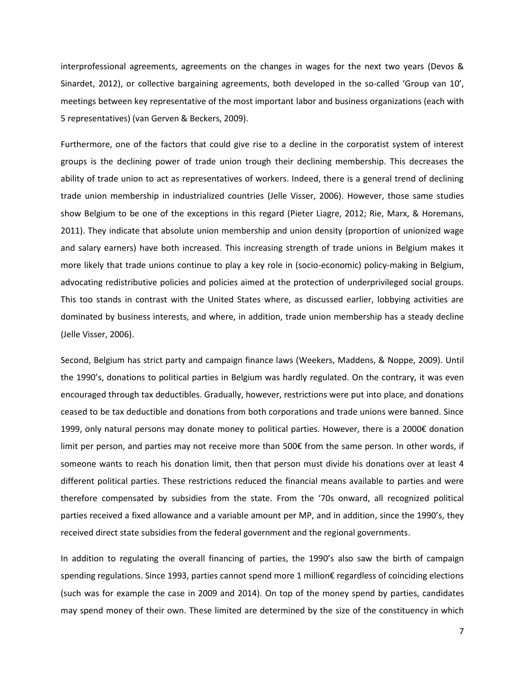interprofessional agreements, agreements on the changes in wages for the next two years (Devos & Sinardet, 2012), or collective bargaining agreements, both developed in the so-called 'Group van 10', meetings between key representative of the most important labor and business organizations (each with 5 representatives) (van Gerven & Beckers, 2009).

Furthermore, one of the factors that could give rise to a decline in the corporatist system of interest groups is the declining power of trade union trough their declining membership. This decreases the ability of trade union to act as representatives of workers. Indeed, there is a general trend of declining trade union membership in industrialized countries (Jelle Visser, 2006). However, those same studies show Belgium to be one of the exceptions in this regard (Pieter Liagre, 2012; Rie, Marx, & Horemans, 2011). They indicate that absolute union membership and union density (proportion of unionized wage and salary earners) have both increased. This increasing strength of trade unions in Belgium makes it more likely that trade unions continue to play a key role in (socio-economic) policy-making in Belgium, advocating redistributive policies and policies aimed at the protection of underprivileged social groups. This too stands in contrast with the United States where, as discussed earlier, lobbying activities are dominated by business interests, and where, in addition, trade union membership has a steady decline (Jelle Visser, 2006).

Second, Belgium has strict party and campaign finance laws (Weekers, Maddens, & Noppe, 2009). Until the 1990's, donations to political parties in Belgium was hardly regulated. On the contrary, it was even encouraged through tax deductibles. Gradually, however, restrictions were put into place, and donations ceased to be tax deductible and donations from both corporations and trade unions were banned. Since 1999, only natural persons may donate money to political parties. However, there is a 2000€ donation limit per person, and parties may not receive more than 500€ from the same person. In other words, if someone wants to reach his donation limit, then that person must divide his donations over at least 4 different political parties. These restrictions reduced the financial means available to parties and were therefore compensated by subsidies from the state. From the '70s onward, all recognized political parties received a fixed allowance and a variable amount per MP, and in addition, since the 1990's, they received direct state subsidies from the federal government and the regional governments.

In addition to regulating the overall financing of parties, the 1990's also saw the birth of campaign spending regulations. Since 1993, parties cannot spend more 1 million€ regardless of coinciding elections (such was for example the case in 2009 and 2014). On top of the money spend by parties, candidates may spend money of their own. These limited are determined by the size of the constituency in which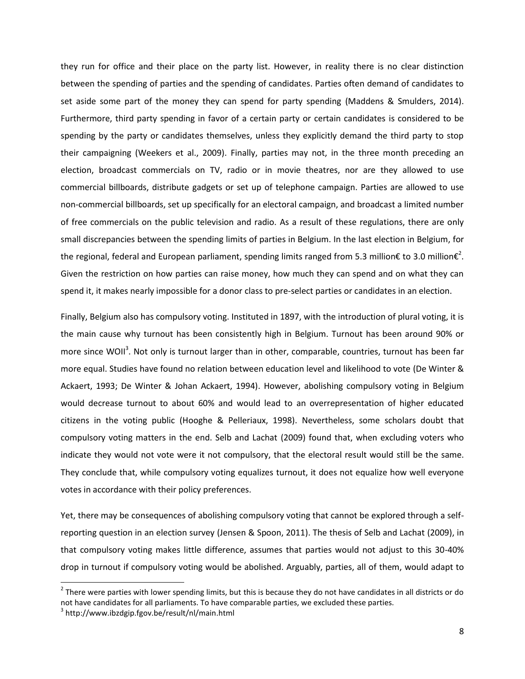they run for office and their place on the party list. However, in reality there is no clear distinction between the spending of parties and the spending of candidates. Parties often demand of candidates to set aside some part of the money they can spend for party spending (Maddens & Smulders, 2014). Furthermore, third party spending in favor of a certain party or certain candidates is considered to be spending by the party or candidates themselves, unless they explicitly demand the third party to stop their campaigning (Weekers et al., 2009). Finally, parties may not, in the three month preceding an election, broadcast commercials on TV, radio or in movie theatres, nor are they allowed to use commercial billboards, distribute gadgets or set up of telephone campaign. Parties are allowed to use non-commercial billboards, set up specifically for an electoral campaign, and broadcast a limited number of free commercials on the public television and radio. As a result of these regulations, there are only small discrepancies between the spending limits of parties in Belgium. In the last election in Belgium, for the regional, federal and European parliament, spending limits ranged from 5.3 million€ to 3.0 million€<sup>2</sup>. Given the restriction on how parties can raise money, how much they can spend and on what they can spend it, it makes nearly impossible for a donor class to pre-select parties or candidates in an election.

Finally, Belgium also has compulsory voting. Instituted in 1897, with the introduction of plural voting, it is the main cause why turnout has been consistently high in Belgium. Turnout has been around 90% or more since WOII<sup>3</sup>. Not only is turnout larger than in other, comparable, countries, turnout has been far more equal. Studies have found no relation between education level and likelihood to vote (De Winter & Ackaert, 1993; De Winter & Johan Ackaert, 1994). However, abolishing compulsory voting in Belgium would decrease turnout to about 60% and would lead to an overrepresentation of higher educated citizens in the voting public (Hooghe & Pelleriaux, 1998). Nevertheless, some scholars doubt that compulsory voting matters in the end. Selb and Lachat (2009) found that, when excluding voters who indicate they would not vote were it not compulsory, that the electoral result would still be the same. They conclude that, while compulsory voting equalizes turnout, it does not equalize how well everyone votes in accordance with their policy preferences.

Yet, there may be consequences of abolishing compulsory voting that cannot be explored through a selfreporting question in an election survey (Jensen & Spoon, 2011). The thesis of Selb and Lachat (2009), in that compulsory voting makes little difference, assumes that parties would not adjust to this 30-40% drop in turnout if compulsory voting would be abolished. Arguably, parties, all of them, would adapt to

 $\overline{a}$ 

 $2$  There were parties with lower spending limits, but this is because they do not have candidates in all districts or do not have candidates for all parliaments. To have comparable parties, we excluded these parties.

<sup>3</sup> http://www.ibzdgip.fgov.be/result/nl/main.html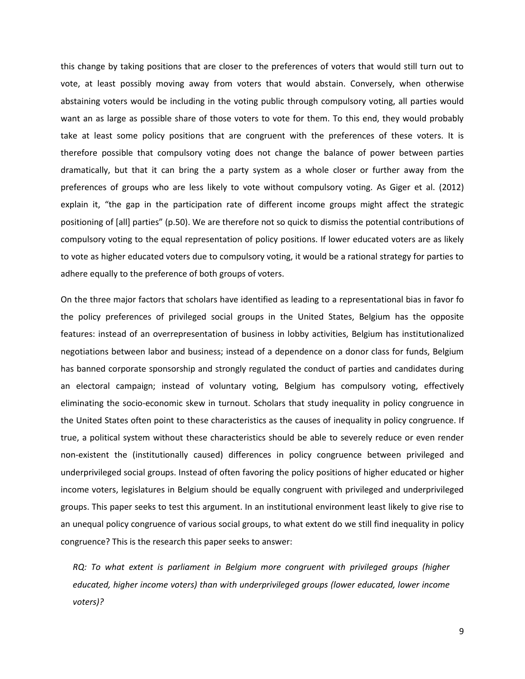this change by taking positions that are closer to the preferences of voters that would still turn out to vote, at least possibly moving away from voters that would abstain. Conversely, when otherwise abstaining voters would be including in the voting public through compulsory voting, all parties would want an as large as possible share of those voters to vote for them. To this end, they would probably take at least some policy positions that are congruent with the preferences of these voters. It is therefore possible that compulsory voting does not change the balance of power between parties dramatically, but that it can bring the a party system as a whole closer or further away from the preferences of groups who are less likely to vote without compulsory voting. As Giger et al. (2012) explain it, "the gap in the participation rate of different income groups might affect the strategic positioning of [all] parties" (p.50). We are therefore not so quick to dismiss the potential contributions of compulsory voting to the equal representation of policy positions. If lower educated voters are as likely to vote as higher educated voters due to compulsory voting, it would be a rational strategy for parties to adhere equally to the preference of both groups of voters.

On the three major factors that scholars have identified as leading to a representational bias in favor fo the policy preferences of privileged social groups in the United States, Belgium has the opposite features: instead of an overrepresentation of business in lobby activities, Belgium has institutionalized negotiations between labor and business; instead of a dependence on a donor class for funds, Belgium has banned corporate sponsorship and strongly regulated the conduct of parties and candidates during an electoral campaign; instead of voluntary voting, Belgium has compulsory voting, effectively eliminating the socio-economic skew in turnout. Scholars that study inequality in policy congruence in the United States often point to these characteristics as the causes of inequality in policy congruence. If true, a political system without these characteristics should be able to severely reduce or even render non-existent the (institutionally caused) differences in policy congruence between privileged and underprivileged social groups. Instead of often favoring the policy positions of higher educated or higher income voters, legislatures in Belgium should be equally congruent with privileged and underprivileged groups. This paper seeks to test this argument. In an institutional environment least likely to give rise to an unequal policy congruence of various social groups, to what extent do we still find inequality in policy congruence? This is the research this paper seeks to answer:

*RQ: To what extent is parliament in Belgium more congruent with privileged groups (higher educated, higher income voters) than with underprivileged groups (lower educated, lower income voters)?*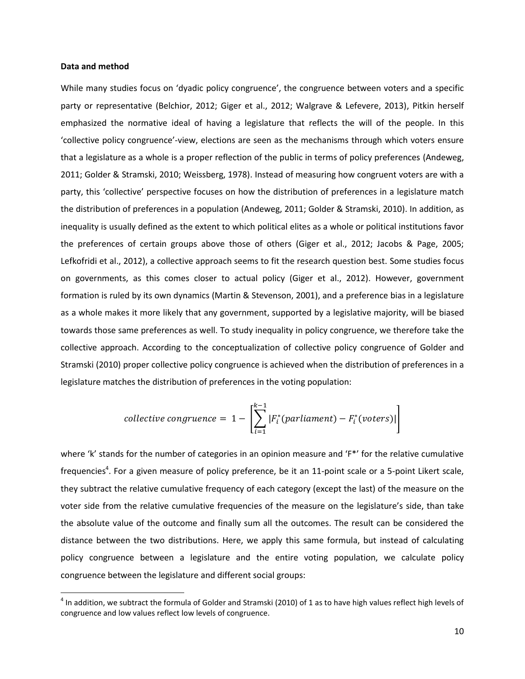#### **Data and method**

 $\overline{a}$ 

While many studies focus on 'dyadic policy congruence', the congruence between voters and a specific party or representative (Belchior, 2012; Giger et al., 2012; Walgrave & Lefevere, 2013), Pitkin herself emphasized the normative ideal of having a legislature that reflects the will of the people. In this 'collective policy congruence'-view, elections are seen as the mechanisms through which voters ensure that a legislature as a whole is a proper reflection of the public in terms of policy preferences (Andeweg, 2011; Golder & Stramski, 2010; Weissberg, 1978). Instead of measuring how congruent voters are with a party, this 'collective' perspective focuses on how the distribution of preferences in a legislature match the distribution of preferences in a population (Andeweg, 2011; Golder & Stramski, 2010). In addition, as inequality is usually defined as the extent to which political elites as a whole or political institutions favor the preferences of certain groups above those of others (Giger et al., 2012; Jacobs & Page, 2005; Lefkofridi et al., 2012), a collective approach seems to fit the research question best. Some studies focus on governments, as this comes closer to actual policy (Giger et al., 2012). However, government formation is ruled by its own dynamics (Martin & Stevenson, 2001), and a preference bias in a legislature as a whole makes it more likely that any government, supported by a legislative majority, will be biased towards those same preferences as well. To study inequality in policy congruence, we therefore take the collective approach. According to the conceptualization of collective policy congruence of Golder and Stramski (2010) proper collective policy congruence is achieved when the distribution of preferences in a legislature matches the distribution of preferences in the voting population:

$$
collective\ congruence = 1 - \left[ \sum_{i=1}^{k-1} |F_i^*(parallelment) - F_i^*(voters)| \right]
$$

where 'k' stands for the number of categories in an opinion measure and 'F\*' for the relative cumulative frequencies<sup>4</sup>. For a given measure of policy preference, be it an 11-point scale or a 5-point Likert scale, they subtract the relative cumulative frequency of each category (except the last) of the measure on the voter side from the relative cumulative frequencies of the measure on the legislature's side, than take the absolute value of the outcome and finally sum all the outcomes. The result can be considered the distance between the two distributions. Here, we apply this same formula, but instead of calculating policy congruence between a legislature and the entire voting population, we calculate policy congruence between the legislature and different social groups:

 $^4$  In addition, we subtract the formula of Golder and Stramski (2010) of 1 as to have high values reflect high levels of congruence and low values reflect low levels of congruence.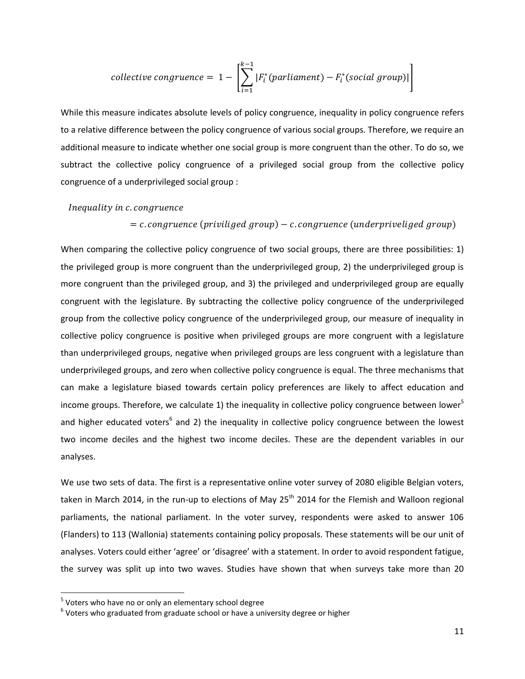collective congruence = 
$$
1 - \left[\sum_{i=1}^{k-1} |F_i^*(parallel) - F_i^*(social\ group)|\right]
$$

While this measure indicates absolute levels of policy congruence, inequality in policy congruence refers to a relative difference between the policy congruence of various social groups. Therefore, we require an additional measure to indicate whether one social group is more congruent than the other. To do so, we subtract the collective policy congruence of a privileged social group from the collective policy congruence of a underprivileged social group :

# Inequality in c. congruence

# $= c$ . congruence (priviliged group) – c. congruence (underpriveliged group)

When comparing the collective policy congruence of two social groups, there are three possibilities: 1) the privileged group is more congruent than the underprivileged group, 2) the underprivileged group is more congruent than the privileged group, and 3) the privileged and underprivileged group are equally congruent with the legislature. By subtracting the collective policy congruence of the underprivileged group from the collective policy congruence of the underprivileged group, our measure of inequality in collective policy congruence is positive when privileged groups are more congruent with a legislature than underprivileged groups, negative when privileged groups are less congruent with a legislature than underprivileged groups, and zero when collective policy congruence is equal. The three mechanisms that can make a legislature biased towards certain policy preferences are likely to affect education and income groups. Therefore, we calculate 1) the inequality in collective policy congruence between lower<sup>5</sup> and higher educated voters<sup>6</sup> and 2) the inequality in collective policy congruence between the lowest two income deciles and the highest two income deciles. These are the dependent variables in our analyses.

We use two sets of data. The first is a representative online voter survey of 2080 eligible Belgian voters, taken in March 2014, in the run-up to elections of May 25<sup>th</sup> 2014 for the Flemish and Walloon regional parliaments, the national parliament. In the voter survey, respondents were asked to answer 106 (Flanders) to 113 (Wallonia) statements containing policy proposals. These statements will be our unit of analyses. Voters could either 'agree' or 'disagree' with a statement. In order to avoid respondent fatigue, the survey was split up into two waves. Studies have shown that when surveys take more than 20

 $\overline{a}$ 

<sup>&</sup>lt;sup>5</sup> Voters who have no or only an elementary school degree

 $^6$  Voters who graduated from graduate school or have a university degree or higher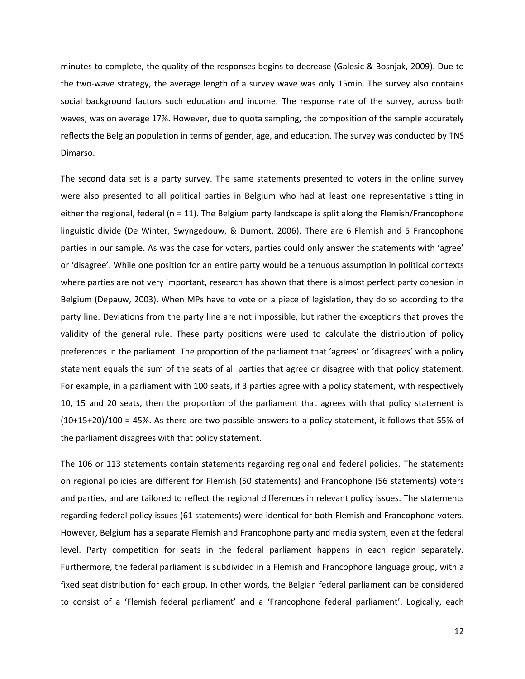minutes to complete, the quality of the responses begins to decrease (Galesic & Bosnjak, 2009). Due to the two-wave strategy, the average length of a survey wave was only 15min. The survey also contains social background factors such education and income. The response rate of the survey, across both waves, was on average 17%. However, due to quota sampling, the composition of the sample accurately reflects the Belgian population in terms of gender, age, and education. The survey was conducted by TNS Dimarso.

The second data set is a party survey. The same statements presented to voters in the online survey were also presented to all political parties in Belgium who had at least one representative sitting in either the regional, federal ( $n = 11$ ). The Belgium party landscape is split along the Flemish/Francophone linguistic divide (De Winter, Swyngedouw, & Dumont, 2006). There are 6 Flemish and 5 Francophone parties in our sample. As was the case for voters, parties could only answer the statements with 'agree' or 'disagree'. While one position for an entire party would be a tenuous assumption in political contexts where parties are not very important, research has shown that there is almost perfect party cohesion in Belgium (Depauw, 2003). When MPs have to vote on a piece of legislation, they do so according to the party line. Deviations from the party line are not impossible, but rather the exceptions that proves the validity of the general rule. These party positions were used to calculate the distribution of policy preferences in the parliament. The proportion of the parliament that 'agrees' or 'disagrees' with a policy statement equals the sum of the seats of all parties that agree or disagree with that policy statement. For example, in a parliament with 100 seats, if 3 parties agree with a policy statement, with respectively 10, 15 and 20 seats, then the proportion of the parliament that agrees with that policy statement is (10+15+20)/100 = 45%. As there are two possible answers to a policy statement, it follows that 55% of the parliament disagrees with that policy statement.

The 106 or 113 statements contain statements regarding regional and federal policies. The statements on regional policies are different for Flemish (50 statements) and Francophone (56 statements) voters and parties, and are tailored to reflect the regional differences in relevant policy issues. The statements regarding federal policy issues (61 statements) were identical for both Flemish and Francophone voters. However, Belgium has a separate Flemish and Francophone party and media system, even at the federal level. Party competition for seats in the federal parliament happens in each region separately. Furthermore, the federal parliament is subdivided in a Flemish and Francophone language group, with a fixed seat distribution for each group. In other words, the Belgian federal parliament can be considered to consist of a 'Flemish federal parliament' and a 'Francophone federal parliament'. Logically, each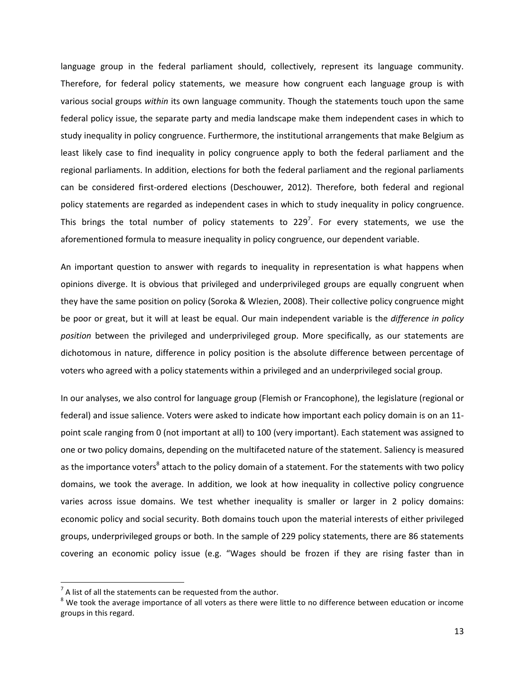language group in the federal parliament should, collectively, represent its language community. Therefore, for federal policy statements, we measure how congruent each language group is with various social groups *within* its own language community. Though the statements touch upon the same federal policy issue, the separate party and media landscape make them independent cases in which to study inequality in policy congruence. Furthermore, the institutional arrangements that make Belgium as least likely case to find inequality in policy congruence apply to both the federal parliament and the regional parliaments. In addition, elections for both the federal parliament and the regional parliaments can be considered first-ordered elections (Deschouwer, 2012). Therefore, both federal and regional policy statements are regarded as independent cases in which to study inequality in policy congruence. This brings the total number of policy statements to 229<sup>7</sup>. For every statements, we use the aforementioned formula to measure inequality in policy congruence, our dependent variable.

An important question to answer with regards to inequality in representation is what happens when opinions diverge. It is obvious that privileged and underprivileged groups are equally congruent when they have the same position on policy (Soroka & Wlezien, 2008). Their collective policy congruence might be poor or great, but it will at least be equal. Our main independent variable is the *difference in policy position* between the privileged and underprivileged group. More specifically, as our statements are dichotomous in nature, difference in policy position is the absolute difference between percentage of voters who agreed with a policy statements within a privileged and an underprivileged social group.

In our analyses, we also control for language group (Flemish or Francophone), the legislature (regional or federal) and issue salience. Voters were asked to indicate how important each policy domain is on an 11 point scale ranging from 0 (not important at all) to 100 (very important). Each statement was assigned to one or two policy domains, depending on the multifaceted nature of the statement. Saliency is measured as the importance voters<sup>8</sup> attach to the policy domain of a statement. For the statements with two policy domains, we took the average. In addition, we look at how inequality in collective policy congruence varies across issue domains. We test whether inequality is smaller or larger in 2 policy domains: economic policy and social security. Both domains touch upon the material interests of either privileged groups, underprivileged groups or both. In the sample of 229 policy statements, there are 86 statements covering an economic policy issue (e.g. "Wages should be frozen if they are rising faster than in

 $\overline{a}$ 

 $<sup>7</sup>$  A list of all the statements can be requested from the author.</sup>

 $8$  We took the average importance of all voters as there were little to no difference between education or income groups in this regard.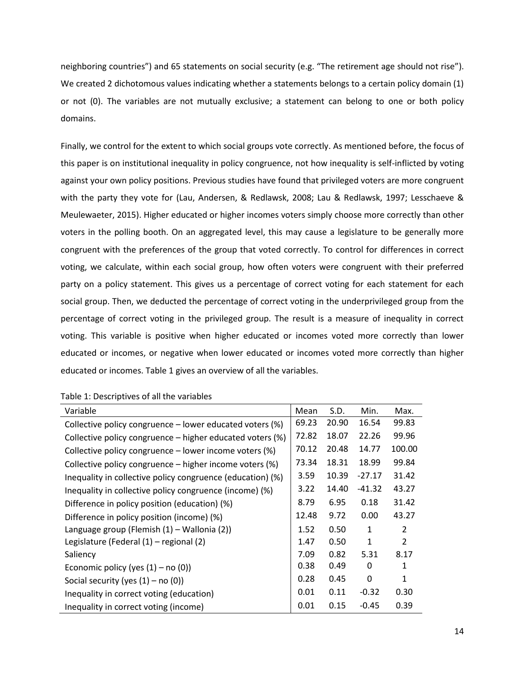neighboring countries") and 65 statements on social security (e.g. "The retirement age should not rise"). We created 2 dichotomous values indicating whether a statements belongs to a certain policy domain (1) or not (0). The variables are not mutually exclusive; a statement can belong to one or both policy domains.

Finally, we control for the extent to which social groups vote correctly. As mentioned before, the focus of this paper is on institutional inequality in policy congruence, not how inequality is self-inflicted by voting against your own policy positions. Previous studies have found that privileged voters are more congruent with the party they vote for (Lau, Andersen, & Redlawsk, 2008; Lau & Redlawsk, 1997; Lesschaeve & Meulewaeter, 2015). Higher educated or higher incomes voters simply choose more correctly than other voters in the polling booth. On an aggregated level, this may cause a legislature to be generally more congruent with the preferences of the group that voted correctly. To control for differences in correct voting, we calculate, within each social group, how often voters were congruent with their preferred party on a policy statement. This gives us a percentage of correct voting for each statement for each social group. Then, we deducted the percentage of correct voting in the underprivileged group from the percentage of correct voting in the privileged group. The result is a measure of inequality in correct voting. This variable is positive when higher educated or incomes voted more correctly than lower educated or incomes, or negative when lower educated or incomes voted more correctly than higher educated or incomes. Table 1 gives an overview of all the variables.

| Variable                                                   | Mean  | S.D.  | Min.         | Max.           |
|------------------------------------------------------------|-------|-------|--------------|----------------|
| Collective policy congruence - lower educated voters (%)   | 69.23 | 20.90 | 16.54        | 99.83          |
| Collective policy congruence – higher educated voters (%)  | 72.82 | 18.07 | 22.26        | 99.96          |
| Collective policy congruence – lower income voters (%)     | 70.12 | 20.48 | 14.77        | 100.00         |
| Collective policy congruence – higher income voters (%)    | 73.34 | 18.31 | 18.99        | 99.84          |
| Inequality in collective policy congruence (education) (%) | 3.59  | 10.39 | $-27.17$     | 31.42          |
| Inequality in collective policy congruence (income) (%)    | 3.22  | 14.40 | $-41.32$     | 43.27          |
| Difference in policy position (education) (%)              | 8.79  | 6.95  | 0.18         | 31.42          |
| Difference in policy position (income) (%)                 | 12.48 | 9.72  | 0.00         | 43.27          |
| Language group (Flemish (1) - Wallonia (2))                | 1.52  | 0.50  | $\mathbf{1}$ | $\overline{2}$ |
| Legislature (Federal (1) – regional (2)                    | 1.47  | 0.50  | $\mathbf{1}$ | $\overline{2}$ |
| Saliency                                                   | 7.09  | 0.82  | 5.31         | 8.17           |
| Economic policy (yes $(1)$ – no $(0)$ )                    | 0.38  | 0.49  | 0            | 1              |
| Social security (yes $(1)$ – no $(0)$ )                    | 0.28  | 0.45  | $\Omega$     | 1              |
| Inequality in correct voting (education)                   | 0.01  | 0.11  | $-0.32$      | 0.30           |
| Inequality in correct voting (income)                      | 0.01  | 0.15  | $-0.45$      | 0.39           |

|  |  |  | Table 1: Descriptives of all the variables |  |  |  |  |
|--|--|--|--------------------------------------------|--|--|--|--|
|--|--|--|--------------------------------------------|--|--|--|--|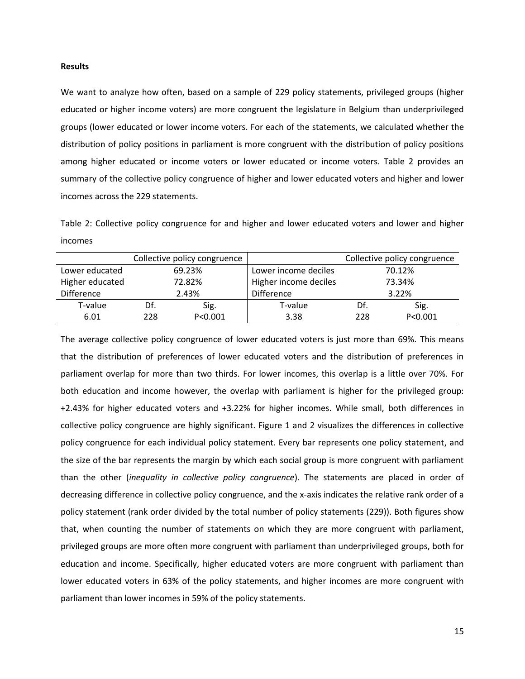### **Results**

We want to analyze how often, based on a sample of 229 policy statements, privileged groups (higher educated or higher income voters) are more congruent the legislature in Belgium than underprivileged groups (lower educated or lower income voters. For each of the statements, we calculated whether the distribution of policy positions in parliament is more congruent with the distribution of policy positions among higher educated or income voters or lower educated or income voters. Table 2 provides an summary of the collective policy congruence of higher and lower educated voters and higher and lower incomes across the 229 statements.

Table 2: Collective policy congruence for and higher and lower educated voters and lower and higher incomes

|                     |     | Collective policy congruence | Collective policy congruence   |     |           |  |
|---------------------|-----|------------------------------|--------------------------------|-----|-----------|--|
| Lower educated      |     | 69.23%                       | Lower income deciles<br>70.12% |     |           |  |
| Higher educated     |     | 72.82%                       | Higher income deciles          |     | 73.34%    |  |
| Difference<br>2.43% |     | <b>Difference</b>            | 3.22%                          |     |           |  |
| T-value             | Df. | Sig.                         | T-value                        | Df. | Sig.      |  |
| 6.01                | 228 | P < 0.001                    | 3.38                           | 228 | P < 0.001 |  |

The average collective policy congruence of lower educated voters is just more than 69%. This means that the distribution of preferences of lower educated voters and the distribution of preferences in parliament overlap for more than two thirds. For lower incomes, this overlap is a little over 70%. For both education and income however, the overlap with parliament is higher for the privileged group: +2.43% for higher educated voters and +3.22% for higher incomes. While small, both differences in collective policy congruence are highly significant. Figure 1 and 2 visualizes the differences in collective policy congruence for each individual policy statement. Every bar represents one policy statement, and the size of the bar represents the margin by which each social group is more congruent with parliament than the other (*inequality in collective policy congruence*). The statements are placed in order of decreasing difference in collective policy congruence, and the x-axis indicates the relative rank order of a policy statement (rank order divided by the total number of policy statements (229)). Both figures show that, when counting the number of statements on which they are more congruent with parliament, privileged groups are more often more congruent with parliament than underprivileged groups, both for education and income. Specifically, higher educated voters are more congruent with parliament than lower educated voters in 63% of the policy statements, and higher incomes are more congruent with parliament than lower incomes in 59% of the policy statements.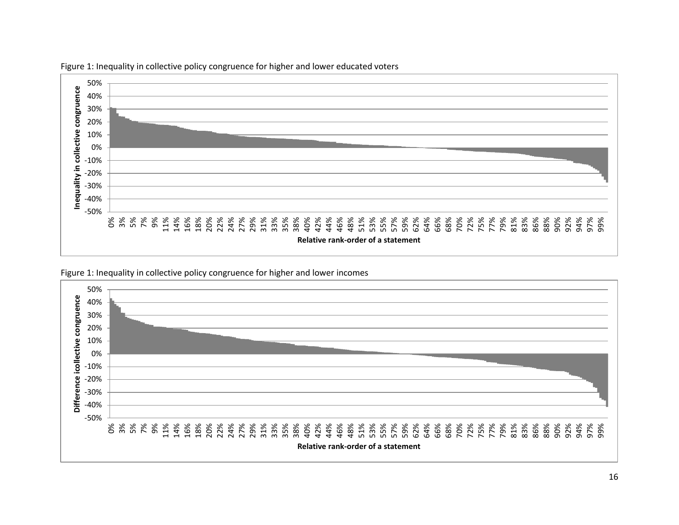

Figure 1: Inequality in collective policy congruence for higher and lower educated voters

Figure 1: Inequality in collective policy congruence for higher and lower incomes

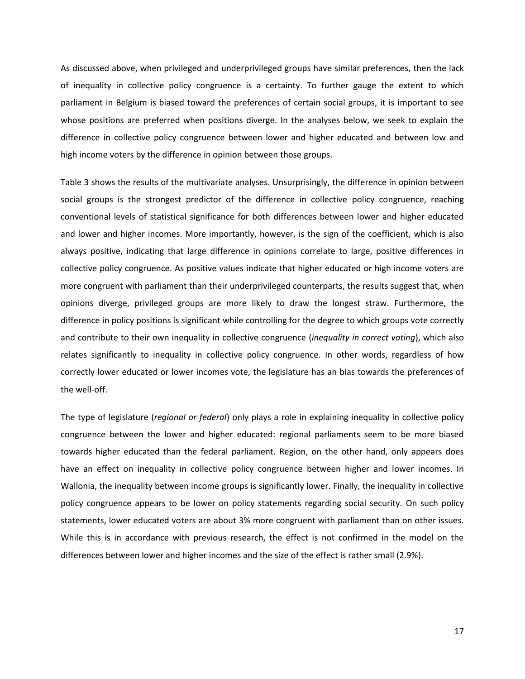As discussed above, when privileged and underprivileged groups have similar preferences, then the lack of inequality in collective policy congruence is a certainty. To further gauge the extent to which parliament in Belgium is biased toward the preferences of certain social groups, it is important to see whose positions are preferred when positions diverge. In the analyses below, we seek to explain the difference in collective policy congruence between lower and higher educated and between low and high income voters by the difference in opinion between those groups.

Table 3 shows the results of the multivariate analyses. Unsurprisingly, the difference in opinion between social groups is the strongest predictor of the difference in collective policy congruence, reaching conventional levels of statistical significance for both differences between lower and higher educated and lower and higher incomes. More importantly, however, is the sign of the coefficient, which is also always positive, indicating that large difference in opinions correlate to large, positive differences in collective policy congruence. As positive values indicate that higher educated or high income voters are more congruent with parliament than their underprivileged counterparts, the results suggest that, when opinions diverge, privileged groups are more likely to draw the longest straw. Furthermore, the difference in policy positions is significant while controlling for the degree to which groups vote correctly and contribute to their own inequality in collective congruence (*inequality in correct voting*), which also relates significantly to inequality in collective policy congruence. In other words, regardless of how correctly lower educated or lower incomes vote, the legislature has an bias towards the preferences of the well-off.

The type of legislature (*regional or federal*) only plays a role in explaining inequality in collective policy congruence between the lower and higher educated: regional parliaments seem to be more biased towards higher educated than the federal parliament. Region, on the other hand, only appears does have an effect on inequality in collective policy congruence between higher and lower incomes. In Wallonia, the inequality between income groups is significantly lower. Finally, the inequality in collective policy congruence appears to be lower on policy statements regarding social security. On such policy statements, lower educated voters are about 3% more congruent with parliament than on other issues. While this is in accordance with previous research, the effect is not confirmed in the model on the differences between lower and higher incomes and the size of the effect is rather small (2.9%).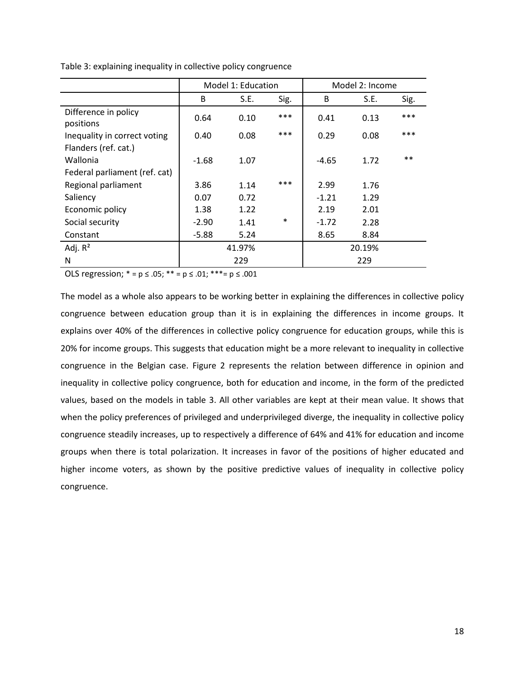|                                   |         | Model 1: Education |        | Model 2: Income |      |       |  |
|-----------------------------------|---------|--------------------|--------|-----------------|------|-------|--|
|                                   | B       | S.E.               | Sig.   | B               | S.E. | Sig.  |  |
| Difference in policy<br>positions | 0.64    | 0.10               | ***    | 0.41            | 0.13 | $***$ |  |
| Inequality in correct voting      | 0.40    | 0.08               | ***    | 0.29            | 0.08 | ***   |  |
| Flanders (ref. cat.)              |         |                    |        |                 |      |       |  |
| Wallonia                          | $-1.68$ | 1.07               |        | -4.65           | 1.72 | $* *$ |  |
| Federal parliament (ref. cat)     |         |                    |        |                 |      |       |  |
| Regional parliament               | 3.86    | 1.14               | ***    | 2.99            | 1.76 |       |  |
| Saliency                          | 0.07    | 0.72               |        | $-1.21$         | 1.29 |       |  |
| Economic policy                   | 1.38    | 1.22               |        | 2.19            | 2.01 |       |  |
| Social security                   | $-2.90$ | 1.41               | $\ast$ | $-1.72$         | 2.28 |       |  |
| Constant                          | -5.88   | 5.24               |        | 8.65            | 8.84 |       |  |
| Adj. $R^2$                        | 41.97%  |                    |        | 20.19%          |      |       |  |
| N                                 |         | 229                |        |                 | 229  |       |  |

Table 3: explaining inequality in collective policy congruence

OLS regression;  $* = p \le .05$ ;  $** = p \le .01$ ;  $*** = p \le .001$ 

The model as a whole also appears to be working better in explaining the differences in collective policy congruence between education group than it is in explaining the differences in income groups. It explains over 40% of the differences in collective policy congruence for education groups, while this is 20% for income groups. This suggests that education might be a more relevant to inequality in collective congruence in the Belgian case. Figure 2 represents the relation between difference in opinion and inequality in collective policy congruence, both for education and income, in the form of the predicted values, based on the models in table 3. All other variables are kept at their mean value. It shows that when the policy preferences of privileged and underprivileged diverge, the inequality in collective policy congruence steadily increases, up to respectively a difference of 64% and 41% for education and income groups when there is total polarization. It increases in favor of the positions of higher educated and higher income voters, as shown by the positive predictive values of inequality in collective policy congruence.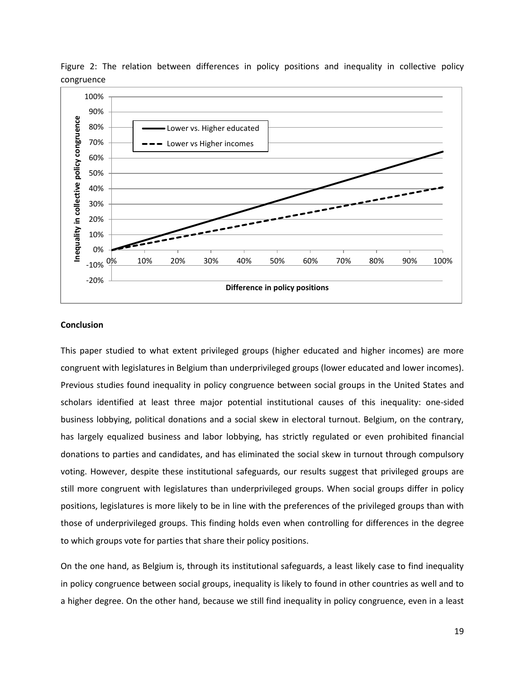

Figure 2: The relation between differences in policy positions and inequality in collective policy congruence

# **Conclusion**

This paper studied to what extent privileged groups (higher educated and higher incomes) are more congruent with legislatures in Belgium than underprivileged groups (lower educated and lower incomes). Previous studies found inequality in policy congruence between social groups in the United States and scholars identified at least three major potential institutional causes of this inequality: one-sided business lobbying, political donations and a social skew in electoral turnout. Belgium, on the contrary, has largely equalized business and labor lobbying, has strictly regulated or even prohibited financial donations to parties and candidates, and has eliminated the social skew in turnout through compulsory voting. However, despite these institutional safeguards, our results suggest that privileged groups are still more congruent with legislatures than underprivileged groups. When social groups differ in policy positions, legislatures is more likely to be in line with the preferences of the privileged groups than with those of underprivileged groups. This finding holds even when controlling for differences in the degree to which groups vote for parties that share their policy positions.

On the one hand, as Belgium is, through its institutional safeguards, a least likely case to find inequality in policy congruence between social groups, inequality is likely to found in other countries as well and to a higher degree. On the other hand, because we still find inequality in policy congruence, even in a least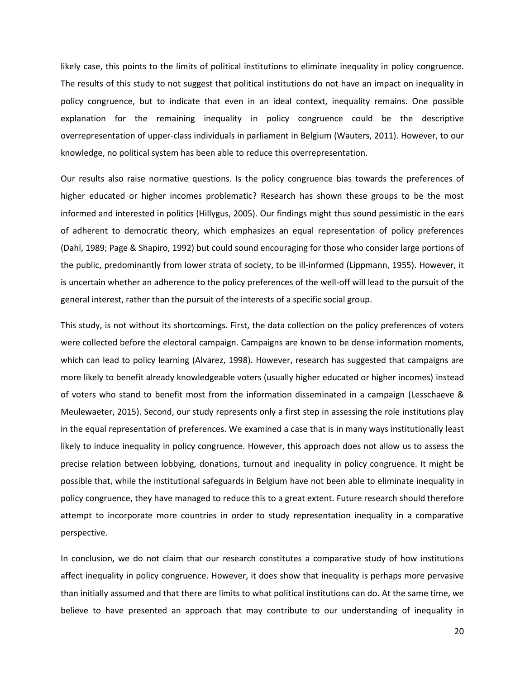likely case, this points to the limits of political institutions to eliminate inequality in policy congruence. The results of this study to not suggest that political institutions do not have an impact on inequality in policy congruence, but to indicate that even in an ideal context, inequality remains. One possible explanation for the remaining inequality in policy congruence could be the descriptive overrepresentation of upper-class individuals in parliament in Belgium (Wauters, 2011). However, to our knowledge, no political system has been able to reduce this overrepresentation.

Our results also raise normative questions. Is the policy congruence bias towards the preferences of higher educated or higher incomes problematic? Research has shown these groups to be the most informed and interested in politics (Hillygus, 2005). Our findings might thus sound pessimistic in the ears of adherent to democratic theory, which emphasizes an equal representation of policy preferences (Dahl, 1989; Page & Shapiro, 1992) but could sound encouraging for those who consider large portions of the public, predominantly from lower strata of society, to be ill-informed (Lippmann, 1955). However, it is uncertain whether an adherence to the policy preferences of the well-off will lead to the pursuit of the general interest, rather than the pursuit of the interests of a specific social group.

This study, is not without its shortcomings. First, the data collection on the policy preferences of voters were collected before the electoral campaign. Campaigns are known to be dense information moments, which can lead to policy learning (Alvarez, 1998). However, research has suggested that campaigns are more likely to benefit already knowledgeable voters (usually higher educated or higher incomes) instead of voters who stand to benefit most from the information disseminated in a campaign (Lesschaeve & Meulewaeter, 2015). Second, our study represents only a first step in assessing the role institutions play in the equal representation of preferences. We examined a case that is in many ways institutionally least likely to induce inequality in policy congruence. However, this approach does not allow us to assess the precise relation between lobbying, donations, turnout and inequality in policy congruence. It might be possible that, while the institutional safeguards in Belgium have not been able to eliminate inequality in policy congruence, they have managed to reduce this to a great extent. Future research should therefore attempt to incorporate more countries in order to study representation inequality in a comparative perspective.

In conclusion, we do not claim that our research constitutes a comparative study of how institutions affect inequality in policy congruence. However, it does show that inequality is perhaps more pervasive than initially assumed and that there are limits to what political institutions can do. At the same time, we believe to have presented an approach that may contribute to our understanding of inequality in

20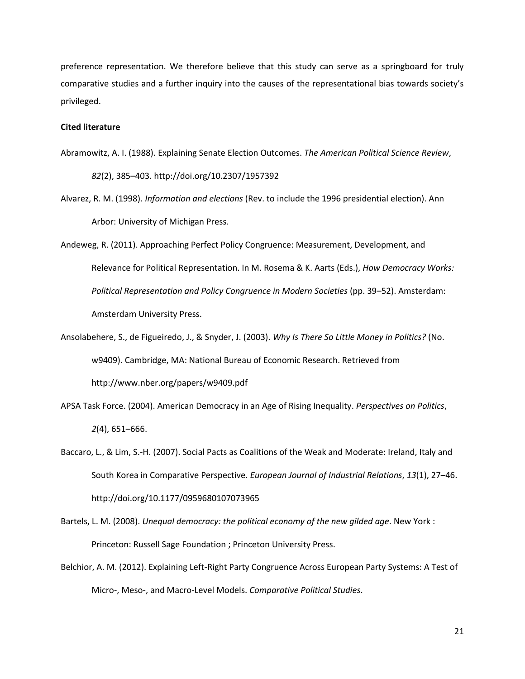preference representation. We therefore believe that this study can serve as a springboard for truly comparative studies and a further inquiry into the causes of the representational bias towards society's privileged.

# **Cited literature**

- Abramowitz, A. I. (1988). Explaining Senate Election Outcomes. *The American Political Science Review*, *82*(2), 385–403. http://doi.org/10.2307/1957392
- Alvarez, R. M. (1998). *Information and elections* (Rev. to include the 1996 presidential election). Ann Arbor: University of Michigan Press.
- Andeweg, R. (2011). Approaching Perfect Policy Congruence: Measurement, Development, and Relevance for Political Representation. In M. Rosema & K. Aarts (Eds.), *How Democracy Works: Political Representation and Policy Congruence in Modern Societies* (pp. 39–52). Amsterdam: Amsterdam University Press.
- Ansolabehere, S., de Figueiredo, J., & Snyder, J. (2003). *Why Is There So Little Money in Politics?* (No. w9409). Cambridge, MA: National Bureau of Economic Research. Retrieved from http://www.nber.org/papers/w9409.pdf
- APSA Task Force. (2004). American Democracy in an Age of Rising Inequality. *Perspectives on Politics*, *2*(4), 651–666.
- Baccaro, L., & Lim, S.-H. (2007). Social Pacts as Coalitions of the Weak and Moderate: Ireland, Italy and South Korea in Comparative Perspective. *European Journal of Industrial Relations*, *13*(1), 27–46. http://doi.org/10.1177/0959680107073965
- Bartels, L. M. (2008). *Unequal democracy: the political economy of the new gilded age*. New York : Princeton: Russell Sage Foundation ; Princeton University Press.
- Belchior, A. M. (2012). Explaining Left-Right Party Congruence Across European Party Systems: A Test of Micro-, Meso-, and Macro-Level Models. *Comparative Political Studies*.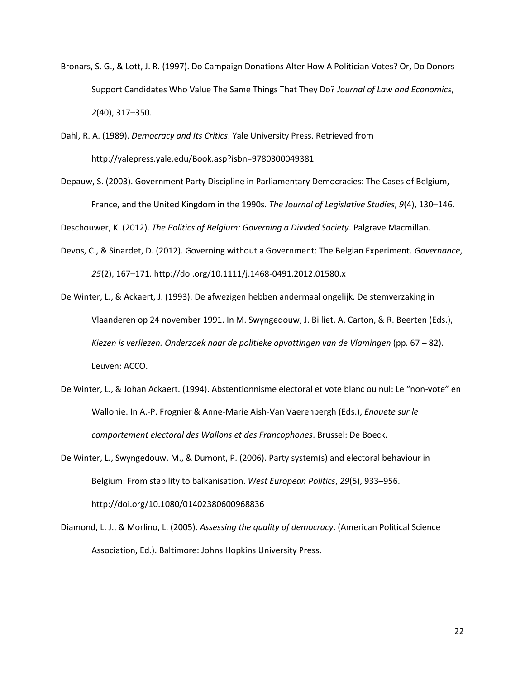- Bronars, S. G., & Lott, J. R. (1997). Do Campaign Donations Alter How A Politician Votes? Or, Do Donors Support Candidates Who Value The Same Things That They Do? *Journal of Law and Economics*, *2*(40), 317–350.
- Dahl, R. A. (1989). *Democracy and Its Critics*. Yale University Press. Retrieved from http://yalepress.yale.edu/Book.asp?isbn=9780300049381
- Depauw, S. (2003). Government Party Discipline in Parliamentary Democracies: The Cases of Belgium, France, and the United Kingdom in the 1990s. *The Journal of Legislative Studies*, *9*(4), 130–146.

Deschouwer, K. (2012). *The Politics of Belgium: Governing a Divided Society*. Palgrave Macmillan.

- Devos, C., & Sinardet, D. (2012). Governing without a Government: The Belgian Experiment. *Governance*, *25*(2), 167–171. http://doi.org/10.1111/j.1468-0491.2012.01580.x
- De Winter, L., & Ackaert, J. (1993). De afwezigen hebben andermaal ongelijk. De stemverzaking in Vlaanderen op 24 november 1991. In M. Swyngedouw, J. Billiet, A. Carton, & R. Beerten (Eds.), *Kiezen is verliezen. Onderzoek naar de politieke opvattingen van de Vlamingen* (pp. 67 – 82). Leuven: ACCO.
- De Winter, L., & Johan Ackaert. (1994). Abstentionnisme electoral et vote blanc ou nul: Le "non-vote" en Wallonie. In A.-P. Frognier & Anne-Marie Aish-Van Vaerenbergh (Eds.), *Enquete sur le comportement electoral des Wallons et des Francophones*. Brussel: De Boeck.
- De Winter, L., Swyngedouw, M., & Dumont, P. (2006). Party system(s) and electoral behaviour in Belgium: From stability to balkanisation. *West European Politics*, *29*(5), 933–956. http://doi.org/10.1080/01402380600968836
- Diamond, L. J., & Morlino, L. (2005). *Assessing the quality of democracy*. (American Political Science Association, Ed.). Baltimore: Johns Hopkins University Press.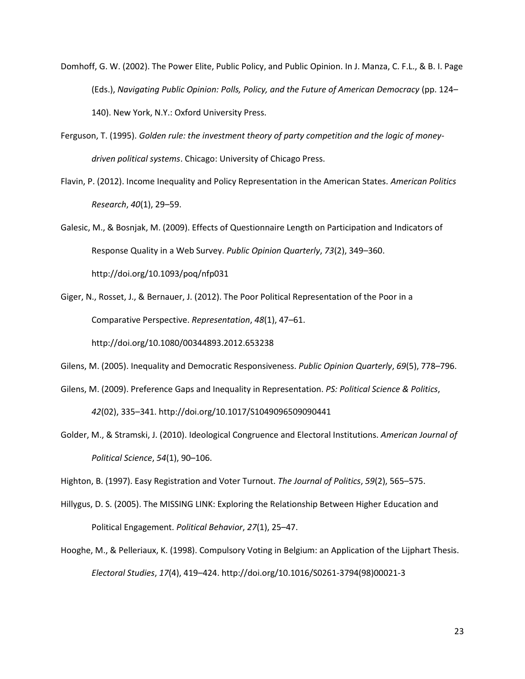- Domhoff, G. W. (2002). The Power Elite, Public Policy, and Public Opinion. In J. Manza, C. F.L., & B. I. Page (Eds.), *Navigating Public Opinion: Polls, Policy, and the Future of American Democracy* (pp. 124– 140). New York, N.Y.: Oxford University Press.
- Ferguson, T. (1995). *Golden rule: the investment theory of party competition and the logic of moneydriven political systems*. Chicago: University of Chicago Press.
- Flavin, P. (2012). Income Inequality and Policy Representation in the American States. *American Politics Research*, *40*(1), 29–59.
- Galesic, M., & Bosnjak, M. (2009). Effects of Questionnaire Length on Participation and Indicators of Response Quality in a Web Survey. *Public Opinion Quarterly*, *73*(2), 349–360. http://doi.org/10.1093/poq/nfp031
- Giger, N., Rosset, J., & Bernauer, J. (2012). The Poor Political Representation of the Poor in a Comparative Perspective. *Representation*, *48*(1), 47–61.

http://doi.org/10.1080/00344893.2012.653238

Gilens, M. (2005). Inequality and Democratic Responsiveness. *Public Opinion Quarterly*, *69*(5), 778–796.

Gilens, M. (2009). Preference Gaps and Inequality in Representation. *PS: Political Science & Politics*,

*42*(02), 335–341. http://doi.org/10.1017/S1049096509090441

Golder, M., & Stramski, J. (2010). Ideological Congruence and Electoral Institutions. *American Journal of Political Science*, *54*(1), 90–106.

Highton, B. (1997). Easy Registration and Voter Turnout. *The Journal of Politics*, *59*(2), 565–575.

- Hillygus, D. S. (2005). The MISSING LINK: Exploring the Relationship Between Higher Education and Political Engagement. *Political Behavior*, *27*(1), 25–47.
- Hooghe, M., & Pelleriaux, K. (1998). Compulsory Voting in Belgium: an Application of the Lijphart Thesis. *Electoral Studies*, *17*(4), 419–424. http://doi.org/10.1016/S0261-3794(98)00021-3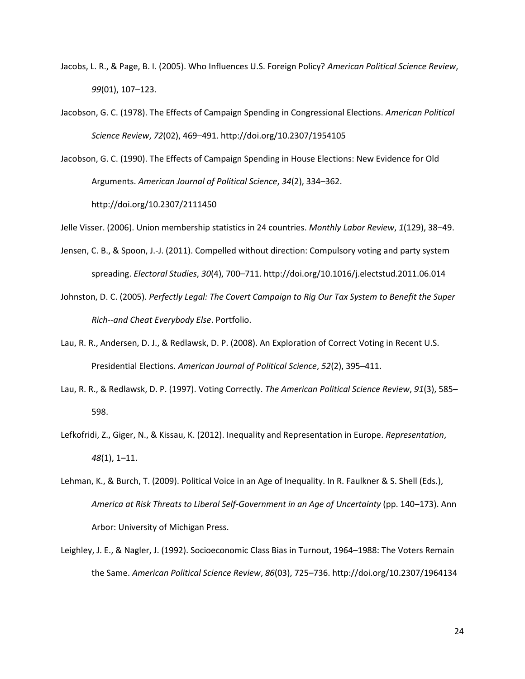- Jacobs, L. R., & Page, B. I. (2005). Who Influences U.S. Foreign Policy? *American Political Science Review*, *99*(01), 107–123.
- Jacobson, G. C. (1978). The Effects of Campaign Spending in Congressional Elections. *American Political Science Review*, *72*(02), 469–491. http://doi.org/10.2307/1954105
- Jacobson, G. C. (1990). The Effects of Campaign Spending in House Elections: New Evidence for Old Arguments. *American Journal of Political Science*, *34*(2), 334–362.

http://doi.org/10.2307/2111450

Jelle Visser. (2006). Union membership statistics in 24 countries. *Monthly Labor Review*, *1*(129), 38–49.

- Jensen, C. B., & Spoon, J.-J. (2011). Compelled without direction: Compulsory voting and party system spreading. *Electoral Studies*, *30*(4), 700–711. http://doi.org/10.1016/j.electstud.2011.06.014
- Johnston, D. C. (2005). *Perfectly Legal: The Covert Campaign to Rig Our Tax System to Benefit the Super Rich--and Cheat Everybody Else*. Portfolio.
- Lau, R. R., Andersen, D. J., & Redlawsk, D. P. (2008). An Exploration of Correct Voting in Recent U.S. Presidential Elections. *American Journal of Political Science*, *52*(2), 395–411.
- Lau, R. R., & Redlawsk, D. P. (1997). Voting Correctly. *The American Political Science Review*, *91*(3), 585– 598.
- Lefkofridi, Z., Giger, N., & Kissau, K. (2012). Inequality and Representation in Europe. *Representation*, *48*(1), 1–11.
- Lehman, K., & Burch, T. (2009). Political Voice in an Age of Inequality. In R. Faulkner & S. Shell (Eds.), *America at Risk Threats to Liberal Self-Government in an Age of Uncertainty* (pp. 140–173). Ann Arbor: University of Michigan Press.
- Leighley, J. E., & Nagler, J. (1992). Socioeconomic Class Bias in Turnout, 1964–1988: The Voters Remain the Same. *American Political Science Review*, *86*(03), 725–736. http://doi.org/10.2307/1964134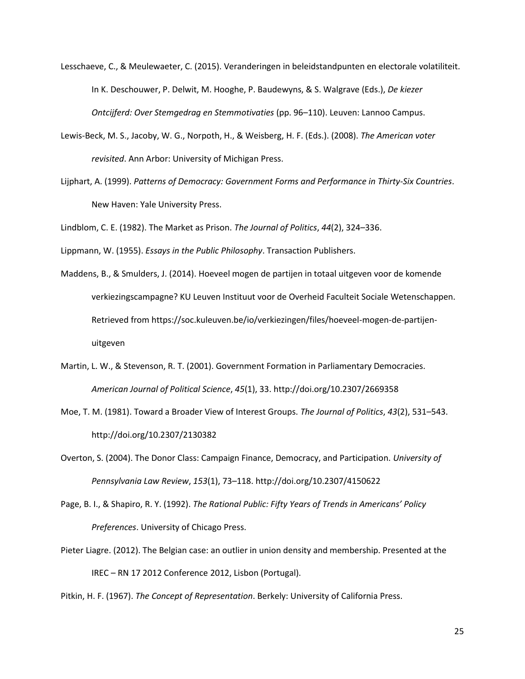- Lesschaeve, C., & Meulewaeter, C. (2015). Veranderingen in beleidstandpunten en electorale volatiliteit. In K. Deschouwer, P. Delwit, M. Hooghe, P. Baudewyns, & S. Walgrave (Eds.), *De kiezer Ontcijferd: Over Stemgedrag en Stemmotivaties* (pp. 96–110). Leuven: Lannoo Campus.
- Lewis-Beck, M. S., Jacoby, W. G., Norpoth, H., & Weisberg, H. F. (Eds.). (2008). *The American voter revisited*. Ann Arbor: University of Michigan Press.
- Lijphart, A. (1999). *Patterns of Democracy: Government Forms and Performance in Thirty-Six Countries*. New Haven: Yale University Press.

Lindblom, C. E. (1982). The Market as Prison. *The Journal of Politics*, *44*(2), 324–336.

Lippmann, W. (1955). *Essays in the Public Philosophy*. Transaction Publishers.

- Maddens, B., & Smulders, J. (2014). Hoeveel mogen de partijen in totaal uitgeven voor de komende verkiezingscampagne? KU Leuven Instituut voor de Overheid Faculteit Sociale Wetenschappen. Retrieved from https://soc.kuleuven.be/io/verkiezingen/files/hoeveel-mogen-de-partijenuitgeven
- Martin, L. W., & Stevenson, R. T. (2001). Government Formation in Parliamentary Democracies. *American Journal of Political Science*, *45*(1), 33. http://doi.org/10.2307/2669358
- Moe, T. M. (1981). Toward a Broader View of Interest Groups. *The Journal of Politics*, *43*(2), 531–543. http://doi.org/10.2307/2130382
- Overton, S. (2004). The Donor Class: Campaign Finance, Democracy, and Participation. *University of Pennsylvania Law Review*, *153*(1), 73–118. http://doi.org/10.2307/4150622
- Page, B. I., & Shapiro, R. Y. (1992). *The Rational Public: Fifty Years of Trends in Americans' Policy Preferences*. University of Chicago Press.
- Pieter Liagre. (2012). The Belgian case: an outlier in union density and membership. Presented at the IREC – RN 17 2012 Conference 2012, Lisbon (Portugal).

Pitkin, H. F. (1967). *The Concept of Representation*. Berkely: University of California Press.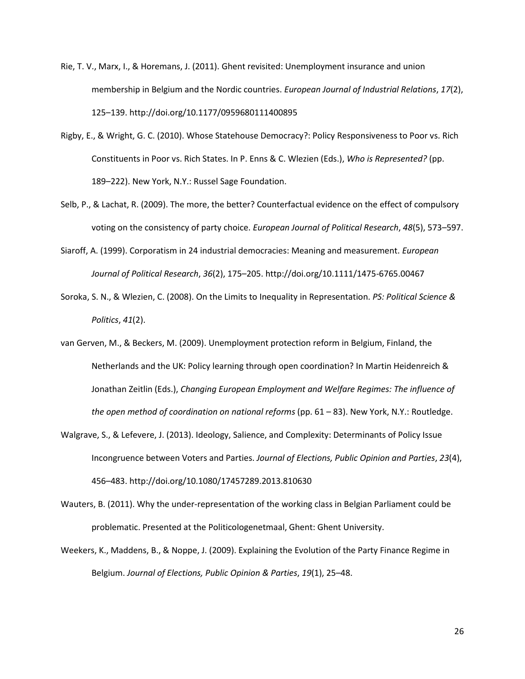- Rie, T. V., Marx, I., & Horemans, J. (2011). Ghent revisited: Unemployment insurance and union membership in Belgium and the Nordic countries. *European Journal of Industrial Relations*, *17*(2), 125–139. http://doi.org/10.1177/0959680111400895
- Rigby, E., & Wright, G. C. (2010). Whose Statehouse Democracy?: Policy Responsiveness to Poor vs. Rich Constituents in Poor vs. Rich States. In P. Enns & C. Wlezien (Eds.), *Who is Represented?* (pp. 189–222). New York, N.Y.: Russel Sage Foundation.
- Selb, P., & Lachat, R. (2009). The more, the better? Counterfactual evidence on the effect of compulsory voting on the consistency of party choice. *European Journal of Political Research*, *48*(5), 573–597.
- Siaroff, A. (1999). Corporatism in 24 industrial democracies: Meaning and measurement. *European Journal of Political Research*, *36*(2), 175–205. http://doi.org/10.1111/1475-6765.00467
- Soroka, S. N., & Wlezien, C. (2008). On the Limits to Inequality in Representation. *PS: Political Science & Politics*, *41*(2).
- van Gerven, M., & Beckers, M. (2009). Unemployment protection reform in Belgium, Finland, the Netherlands and the UK: Policy learning through open coordination? In Martin Heidenreich & Jonathan Zeitlin (Eds.), *Changing European Employment and Welfare Regimes: The influence of the open method of coordination on national reforms* (pp. 61 – 83). New York, N.Y.: Routledge.
- Walgrave, S., & Lefevere, J. (2013). Ideology, Salience, and Complexity: Determinants of Policy Issue Incongruence between Voters and Parties. *Journal of Elections, Public Opinion and Parties*, *23*(4), 456–483. http://doi.org/10.1080/17457289.2013.810630
- Wauters, B. (2011). Why the under-representation of the working class in Belgian Parliament could be problematic. Presented at the Politicologenetmaal, Ghent: Ghent University.
- Weekers, K., Maddens, B., & Noppe, J. (2009). Explaining the Evolution of the Party Finance Regime in Belgium. *Journal of Elections, Public Opinion & Parties*, *19*(1), 25–48.